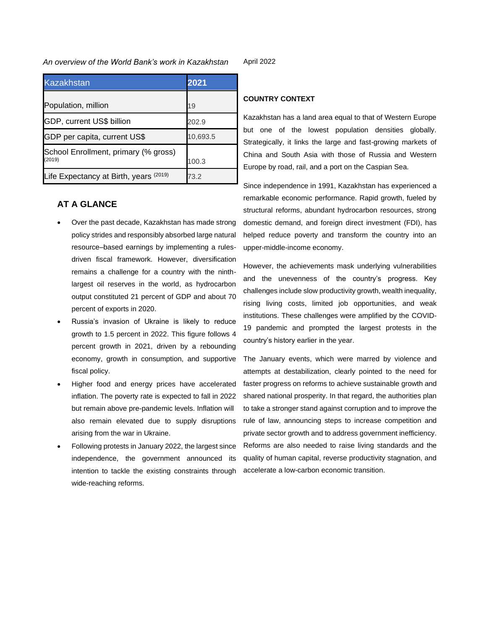### *An overview of the World Bank's work in Kazakhstan*

| <b>Kazakhstan</b>                              | 2021     |
|------------------------------------------------|----------|
| Population, million                            | 19       |
| GDP, current US\$ billion                      | 202.9    |
| GDP per capita, current US\$                   | 10,693.5 |
| School Enrollment, primary (% gross)<br>(2019) | 100.3    |
| Life Expectancy at Birth, years (2019)         | 73.2     |

# **AT A GLANCE**

- Over the past decade, Kazakhstan has made strong policy strides and responsibly absorbed large natural resource–based earnings by implementing a rulesdriven fiscal framework. However, diversification remains a challenge for a country with the ninthlargest oil reserves in the world, as hydrocarbon output constituted 21 percent of GDP and about 70 percent of exports in 2020.
- Russia's invasion of Ukraine is likely to reduce growth to 1.5 percent in 2022. This figure follows 4 percent growth in 2021, driven by a rebounding economy, growth in consumption, and supportive fiscal policy.
- Higher food and energy prices have accelerated inflation. The poverty rate is expected to fall in 2022 but remain above pre-pandemic levels. Inflation will also remain elevated due to supply disruptions arising from the war in Ukraine.
- Following protests in January 2022, the largest since independence, the government announced its intention to tackle the existing constraints through wide-reaching reforms.

April 2022

## **COUNTRY CONTEXT**

Kazakhstan has a land area equal to that of Western Europe but one of the lowest population densities globally. Strategically, it links the large and fast-growing markets of China and South Asia with those of Russia and Western Europe by road, rail, and a port on the Caspian Sea.

Since independence in 1991, Kazakhstan has experienced a remarkable economic performance. Rapid growth, fueled by structural reforms, abundant hydrocarbon resources, strong domestic demand, and foreign direct investment (FDI), has helped reduce poverty and transform the country into an upper-middle-income economy.

However, the achievements mask underlying vulnerabilities and the unevenness of the country's progress. Key challenges include slow productivity growth, wealth inequality, rising living costs, limited job opportunities, and weak institutions. These challenges were amplified by the COVID-19 pandemic and prompted the largest protests in the country's history earlier in the year.

The January events, which were marred by violence and attempts at destabilization, clearly pointed to the need for faster progress on reforms to achieve sustainable growth and shared national prosperity. In that regard, the authorities plan to take a stronger stand against corruption and to improve the rule of law, announcing steps to increase competition and private sector growth and to address government inefficiency. Reforms are also needed to raise living standards and the quality of human capital, reverse productivity stagnation, and accelerate a low-carbon economic transition.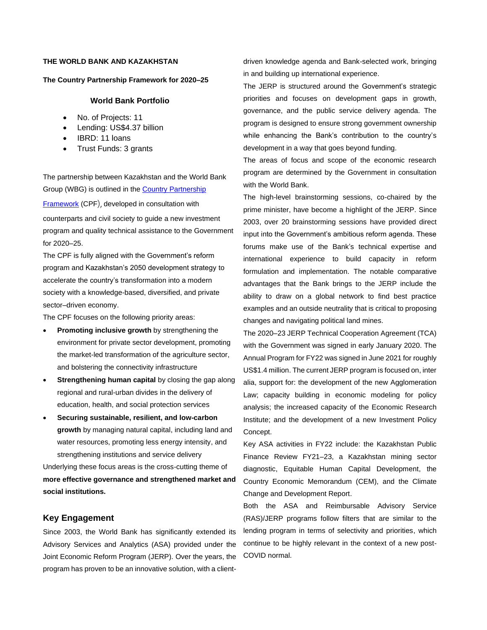# **THE WORLD BANK AND KAZAKHSTAN**

#### **The Country Partnership Framework for 2020–25**

#### **World Bank Portfolio**

- No. of Projects: 11
- Lending: US\$4.37 billion
- IBRD: 11 loans
- Trust Funds: 3 grants

The partnership between Kazakhstan and the World Bank Group (WBG) is outlined in the [Country Partnership](https://www.worldbank.org/en/country/kazakhstan/publication/cpf-2020-2025) 

[Framework](https://www.worldbank.org/en/country/kazakhstan/publication/cpf-2020-2025) (CPF), developed in consultation with counterparts and civil society to guide a new investment program and quality technical assistance to the Government for 2020–25.

The CPF is fully aligned with the Government's reform program and [Kazakhstan's 2050 development strategy](https://kazakhstan2050.com/) to accelerate the country's transformation into a modern society with a knowledge-based, diversified, and private sector–driven economy.

The CPF focuses on the following priority areas:

- **Promoting inclusive growth** by strengthening the environment for private sector development, promoting the market-led transformation of the agriculture sector, and bolstering the connectivity infrastructure
- **Strengthening human capital** by closing the gap along regional and rural-urban divides in the delivery of education, health, and social protection services
- **Securing sustainable, resilient, and low-carbon growth** by managing natural capital, including land and water resources, promoting less energy intensity, and strengthening institutions and service delivery

Underlying these focus areas is the cross-cutting theme of **more effective governance and strengthened market and social institutions.**

## **Key Engagement**

Since 2003, the World Bank has significantly extended its Advisory Services and Analytics (ASA) provided under the Joint Economic Reform Program (JERP). Over the years, the program has proven to be an innovative solution, with a clientdriven knowledge agenda and Bank-selected work, bringing in and building up international experience.

The JERP is structured around the Government's strategic priorities and focuses on development gaps in growth, governance, and the public service delivery agenda. The program is designed to ensure strong government ownership while enhancing the Bank's contribution to the country's development in a way that goes beyond funding.

The areas of focus and scope of the economic research program are determined by the Government in consultation with the World Bank.

The high-level brainstorming sessions, co-chaired by the prime minister, have become a highlight of the JERP. Since 2003, over 20 brainstorming sessions have provided direct input into the Government's ambitious reform agenda. These forums make use of the Bank's technical expertise and international experience to build capacity in reform formulation and implementation. The notable comparative advantages that the Bank brings to the JERP include the ability to draw on a global network to find best practice examples and an outside neutrality that is critical to proposing changes and navigating political land mines.

The 2020–23 JERP Technical Cooperation Agreement (TCA) with the Government was signed in early January 2020. The Annual Program for FY22 was signed in June 2021 for roughly US\$1.4 million. The current JERP program is focused on, inter alia, support for: the development of the new Agglomeration Law; capacity building in economic modeling for policy analysis; the increased capacity of the Economic Research Institute; and the development of a new Investment Policy Concept.

Key ASA activities in FY22 include: the Kazakhstan Public Finance Review FY21–23, a Kazakhstan mining sector diagnostic, Equitable Human Capital Development, the Country Economic Memorandum (CEM), and the Climate Change and Development Report.

Both the ASA and Reimbursable Advisory Service (RAS)/JERP programs follow filters that are similar to the lending program in terms of selectivity and priorities, which continue to be highly relevant in the context of a new post-COVID normal.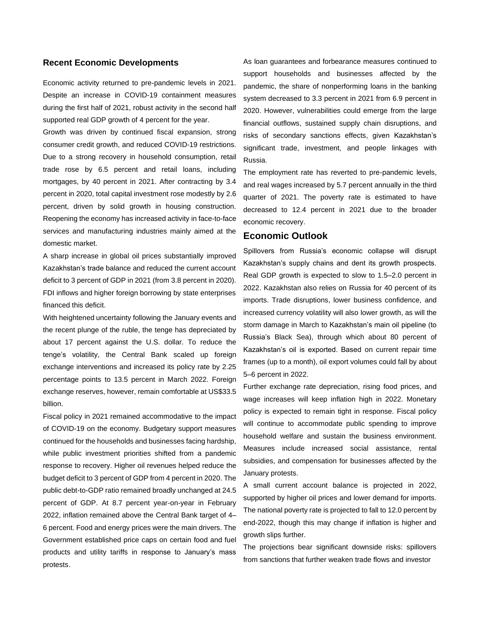### **Recent Economic Developments**

Economic activity returned to pre-pandemic levels in 2021. Despite an increase in COVID-19 containment measures during the first half of 2021, robust activity in the second half supported real GDP growth of 4 percent for the year.

Growth was driven by continued fiscal expansion, strong consumer credit growth, and reduced COVID-19 restrictions. Due to a strong recovery in household consumption, retail trade rose by 6.5 percent and retail loans, including mortgages, by 40 percent in 2021. After contracting by 3.4 percent in 2020, total capital investment rose modestly by 2.6 percent, driven by solid growth in housing construction. Reopening the economy has increased activity in face-to-face services and manufacturing industries mainly aimed at the domestic market.

A sharp increase in global oil prices substantially improved Kazakhstan's trade balance and reduced the current account deficit to 3 percent of GDP in 2021 (from 3.8 percent in 2020). FDI inflows and higher foreign borrowing by state enterprises financed this deficit.

With heightened uncertainty following the January events and the recent plunge of the ruble, the tenge has depreciated by about 17 percent against the U.S. dollar. To reduce the tenge's volatility, the Central Bank scaled up foreign exchange interventions and increased its policy rate by 2.25 percentage points to 13.5 percent in March 2022. Foreign exchange reserves, however, remain comfortable at US\$33.5 billion.

Fiscal policy in 2021 remained accommodative to the impact of COVID-19 on the economy. Budgetary support measures continued for the households and businesses facing hardship, while public investment priorities shifted from a pandemic response to recovery. Higher oil revenues helped reduce the budget deficit to 3 percent of GDP from 4 percent in 2020. The public debt-to-GDP ratio remained broadly unchanged at 24.5 percent of GDP. At 8.7 percent year-on-year in February 2022, inflation remained above the Central Bank target of 4– 6 percent. Food and energy prices were the main drivers. The Government established price caps on certain food and fuel products and utility tariffs in response to January's mass protests.

As loan guarantees and forbearance measures continued to support households and businesses affected by the pandemic, the share of nonperforming loans in the banking system decreased to 3.3 percent in 2021 from 6.9 percent in 2020. However, vulnerabilities could emerge from the large financial outflows, sustained supply chain disruptions, and risks of secondary sanctions effects, given Kazakhstan's significant trade, investment, and people linkages with Russia.

The employment rate has reverted to pre-pandemic levels, and real wages increased by 5.7 percent annually in the third quarter of 2021. The poverty rate is estimated to have decreased to 12.4 percent in 2021 due to the broader economic recovery.

# **Economic Outlook**

Spillovers from Russia's economic collapse will disrupt Kazakhstan's supply chains and dent its growth prospects. Real GDP growth is expected to slow to 1.5–2.0 percent in 2022. Kazakhstan also relies on Russia for 40 percent of its imports. Trade disruptions, lower business confidence, and increased currency volatility will also lower growth, as will the storm damage in March to Kazakhstan's main oil pipeline (to Russia's Black Sea), through which about 80 percent of Kazakhstan's oil is exported. Based on current repair time frames (up to a month), oil export volumes could fall by about 5–6 percent in 2022.

Further exchange rate depreciation, rising food prices, and wage increases will keep inflation high in 2022. Monetary policy is expected to remain tight in response. Fiscal policy will continue to accommodate public spending to improve household welfare and sustain the business environment. Measures include increased social assistance, rental subsidies, and compensation for businesses affected by the January protests.

A small current account balance is projected in 2022, supported by higher oil prices and lower demand for imports. The national poverty rate is projected to fall to 12.0 percent by end-2022, though this may change if inflation is higher and growth slips further.

The projections bear significant downside risks: spillovers from sanctions that further weaken trade flows and investor